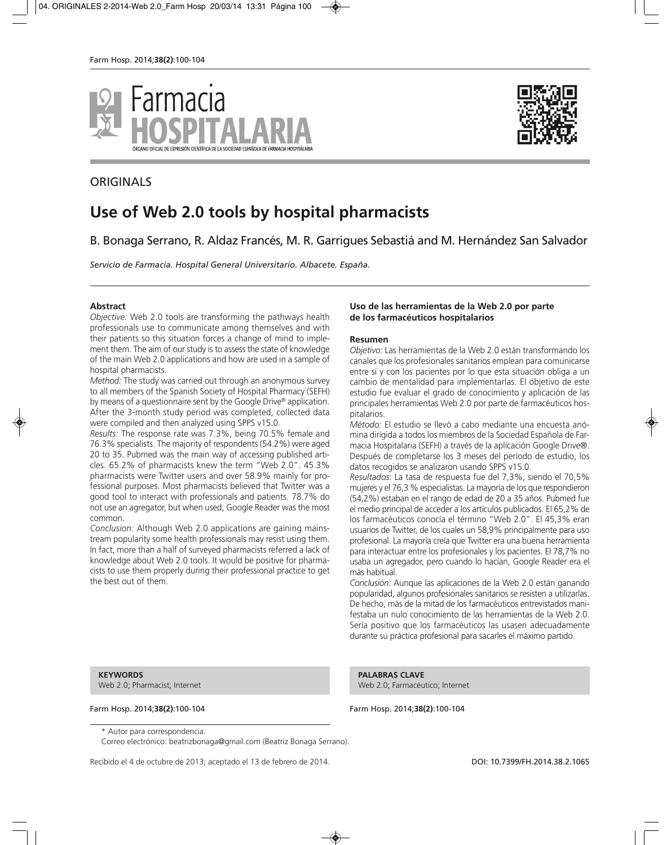



# **Use of Web 2.0 tools by hospital pharmacists**

B. Bonaga Serrano, R. Aldaz Francés, M. R. Garrigues Sebastiá and M. Hernández San Salvador

*Servicio de Farmacia. Hospital General Universitario. Albacete. España.*

#### **Abstract**

*Objective:* Web 2.0 tools are transforming the pathways health professionals use to communicate among themselves and with their patients so this situation forces a change of mind to implement them. The aim of our study is to assess the state of knowledge of the main Web 2.0 applications and how are used in a sample of hospital pharmacists.

*Method:* The study was carried out through an anonymous survey to all members of the Spanish Society of Hospital Pharmacy (SEFH) by means of a questionnaire sent by the Google Drive® application. After the 3-month study period was completed, collected data were compiled and then analyzed using SPPS v15.0.

*Results:* The response rate was 7.3%, being 70.5% female and 76.3% specialists. The majority of respondents (54.2%) were aged 20 to 35. Pubmed was the main way of accessing published articles. 65.2% of pharmacists knew the term "Web 2.0". 45.3% pharmacists were Twitter users and over 58.9% mainly for professional purposes. Most pharmacists believed that Twitter was a good tool to interact with professionals and patients. 78.7% do not use an agregator, but when used, Google Reader was the most common.

*Conclusion:* Although Web 2.0 applications are gaining mainstream popularity some health professionals may resist using them. In fact, more than a half of surveyed pharmacists referred a lack of knowledge about Web 2.0 tools. It would be positive for pharmacists to use them properly during their professional practice to get the best out of them.

#### **Uso de las herramientas de la Web 2.0 por parte de los farmacéuticos hospitalarios**

#### **Resumen**

*Objetivo:* Las herramientas de la Web 2.0 están transformando los canales que los profesionales sanitarios emplean para comunicarse entre sí y con los pacientes por lo que esta situación obliga a un cambio de mentalidad para implementarlas. El objetivo de este estudio fue evaluar el grado de conocimiento y aplicación de las principales herramientas Web 2.0 por parte de farmacéuticos hospitalarios.

*Método:* El estudio se llevó a cabo mediante una encuesta anómina dirigida a todos los miembros de la Sociedad Española de Farmacia Hospitalaria (SEFH) a través de la aplicación Google Drive®. Después de completarse los 3 meses del período de estudio, los datos recogidos se analizaron usando SPPS v15.0.

*Resultados:* La tasa de respuesta fue del 7,3%, siendo el 70,5% mujeres y el 76,3 % especialistas. La mayoría de los que respondieron (54,2%) estaban en el rango de edad de 20 a 35 años. Pubmed fue el medio principal de acceder a los artículos publicados. El 65,2% de los farmacéuticos conocía el término "Web 2.0". El 45,3% eran usuarios de Twitter, de los cuales un 58,9% principalmente para uso profesional. La mayoría creía que Twitter era una buena herramienta para interactuar entre los profesionales y los pacientes. El 78,7% no usaba un agregador, pero cuando lo hacían, Google Reader era el más habitual.

*Conclusión:* Aunque las aplicaciones de la Web 2.0 están ganando popularidad, algunos profesionales sanitarios se resisten a utilizarlas. De hecho, más de la mitad de los farmacéuticos entrevistados manifestaba un nulo conocimiento de las herramientas de la Web 2.0. Sería positivo que los farmacéuticos las usasen adecuadamente durante su práctica profesional para sacarles el máximo partido.

**KEYWORDS**

Web 2.0; Pharmacist; Internet

**PALABRAS CLAVE** Web 2.0; Farmacéutico; Internet

Farm Hosp. 2014;**38(2)**:100-104 Farm Hosp. 2014;**38(2)**:100-104

\* Autor para correspondencia.

Correo electrónico: beatrizbonaga@gmail.com (Beatriz Bonaga Serrano).

Recibido el 4 de octubre de 2013; aceptado el 13 de febrero de 2014. **DOI: 10.7399/FH.2014.38.2.1065** 

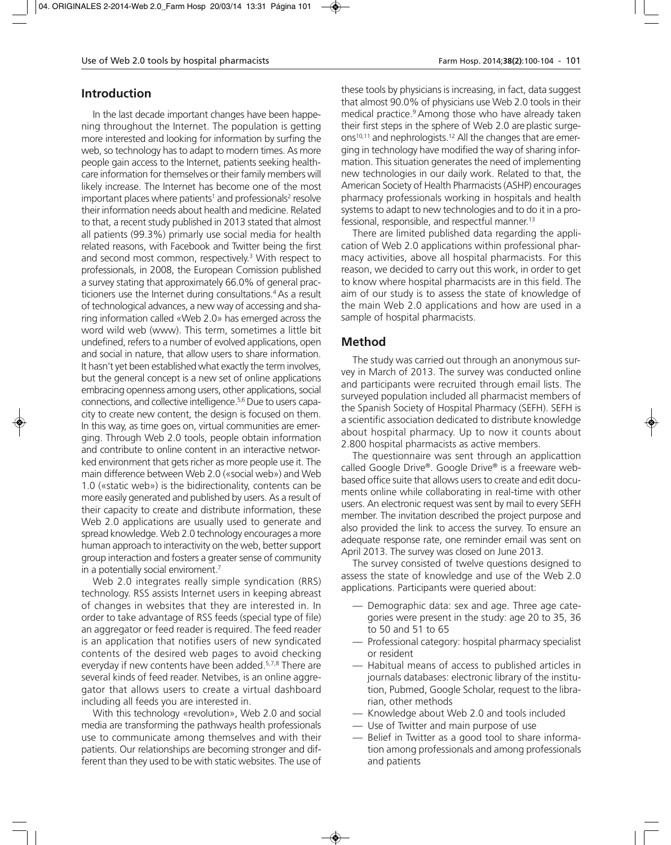# **Introduction**

In the last decade important changes have been happening throughout the Internet. The population is getting more interested and looking for information by surfing the web, so technology has to adapt to modern times. As more people gain access to the Internet, patients seeking healthcare information for themselves or their family members will likely increase. The Internet has become one of the most important places where patients<sup>1</sup> and professionals<sup>2</sup> resolve their information needs about health and medicine. Related to that, a recent study published in 2013 stated that almost all patients (99.3%) primarly use social media for health related reasons, with Facebook and Twitter being the first and second most common, respectively.3 With respect to professionals, in 2008, the European Comission published a survey stating that approximately 66.0% of general practicioners use the Internet during consultations.<sup>4</sup> As a result of technological advances, a new way of accessing and sharing information called «Web 2.0» has emerged across the word wild web (www). This term, sometimes a little bit undefined, refers to a number of evolved applications, open and social in nature, that allow users to share information. It hasn't yet been established what exactly the term involves, but the general concept is a new set of online applications embracing openness among users, other applications, social connections, and collective intelligence.5,6 Due to users capacity to create new content, the design is focused on them. In this way, as time goes on, virtual communities are emerging. Through Web 2.0 tools, people obtain information and contribute to online content in an interactive networked environment that gets richer as more people use it. The main difference between Web 2.0 («social web») and Web 1.0 («static web») is the bidirectionality, contents can be more easily generated and published by users. As a result of their capacity to create and distribute information, these Web 2.0 applications are usually used to generate and spread knowledge. Web 2.0 technology encourages a more human approach to interactivity on the web, better support group interaction and fosters a greater sense of community in a potentially social enviroment.<sup>7</sup>

Web 2.0 integrates really simple syndication (RRS) technology. RSS assists Internet users in keeping abreast of changes in websites that they are interested in. In order to take advantage of RSS feeds (special type of file) an aggregator or feed reader is required. The feed reader is an application that notifies users of new syndicated contents of the desired web pages to avoid checking everyday if new contents have been added.5,7,8 There are several kinds of feed reader. Netvibes, is an online aggregator that allows users to create a virtual dashboard including all feeds you are interested in.

With this technology «revolution», Web 2.0 and social media are transforming the pathways health professionals use to communicate among themselves and with their patients. Our relationships are becoming stronger and different than they used to be with static websites. The use of

these tools by physicians is increasing, in fact, data suggest that almost 90.0% of physicians use Web 2.0 tools in their medical practice.<sup>9</sup> Among those who have already taken their first steps in the sphere of Web 2.0 are plastic surgeons<sup>10,11</sup> and nephrologists.<sup>12</sup> All the changes that are emerging in technology have modified the way of sharing information. This situation generates the need of implementing new technologies in our daily work. Related to that, the American Society of Health Pharmacists (ASHP) encourages pharmacy professionals working in hospitals and health systems to adapt to new technologies and to do it in a professional, responsible, and respectful manner.<sup>13</sup>

There are limited published data regarding the application of Web 2.0 applications within professional pharmacy activities, above all hospital pharmacists. For this reason, we decided to carry out this work, in order to get to know where hospital pharmacists are in this field. The aim of our study is to assess the state of knowledge of the main Web 2.0 applications and how are used in a sample of hospital pharmacists.

# **Method**

The study was carried out through an anonymous survey in March of 2013. The survey was conducted online and participants were recruited through email lists. The surveyed population included all pharmacist members of the Spanish Society of Hospital Pharmacy (SEFH). SEFH is a scientific association dedicated to distribute knowledge about hospital pharmacy. Up to now it counts about 2.800 hospital pharmacists as active members.

The questionnaire was sent through an applicattion called Google Drive®. Google Drive® is a freeware webbased office suite that allows users to create and edit documents online while collaborating in real-time with other users. An electronic request was sent by mail to every SEFH member. The invitation described the project purpose and also provided the link to access the survey. To ensure an adequate response rate, one reminder email was sent on April 2013. The survey was closed on June 2013.

The survey consisted of twelve questions designed to assess the state of knowledge and use of the Web 2.0 applications. Participants were queried about:

- Demographic data: sex and age. Three age categories were present in the study: age 20 to 35, 36 to 50 and 51 to 65
- Professional category: hospital pharmacy specialist or resident
- Habitual means of access to published articles in journals databases: electronic library of the institution, Pubmed, Google Scholar, request to the librarian, other methods
- Knowledge about Web 2.0 and tools included
- Use of Twitter and main purpose of use
- Belief in Twitter as a good tool to share information among professionals and among professionals and patients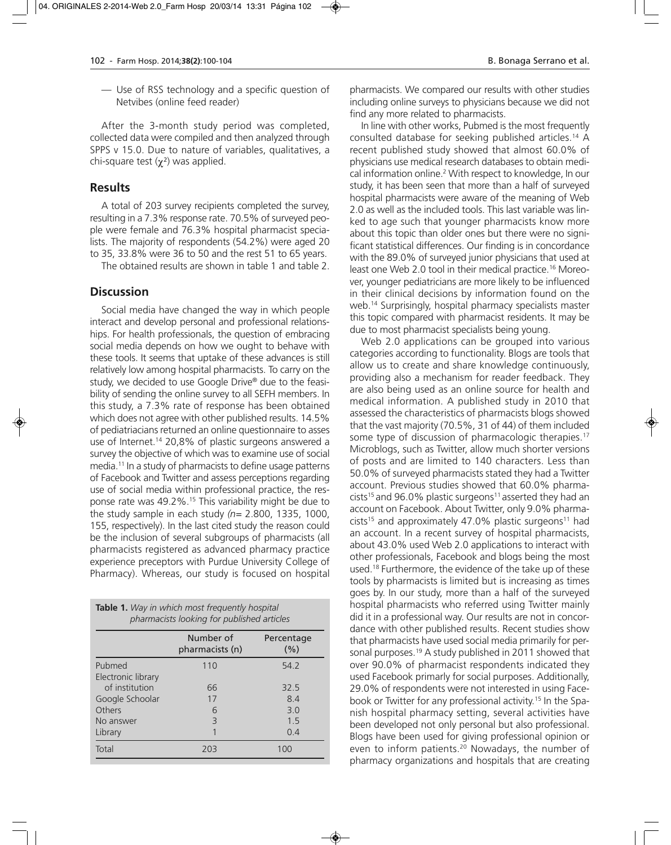— Use of RSS technology and a specific question of Netvibes (online feed reader)

After the 3-month study period was completed, collected data were compiled and then analyzed through SPPS v 15.0. Due to nature of variables, qualitatives, a chi-square test  $(\gamma^2)$  was applied.

#### **Results**

A total of 203 survey recipients completed the survey, resulting in a 7.3% response rate. 70.5% of surveyed people were female and 76.3% hospital pharmacist specialists. The majority of respondents (54.2%) were aged 20 to 35, 33.8% were 36 to 50 and the rest 51 to 65 years.

The obtained results are shown in table 1 and table 2.

#### **Discussion**

Social media have changed the way in which people interact and develop personal and professional relationships. For health professionals, the question of embracing social media depends on how we ought to behave with these tools. It seems that uptake of these advances is still relatively low among hospital pharmacists. To carry on the study, we decided to use Google Drive® due to the feasibility of sending the online survey to all SEFH members. In this study, a 7.3% rate of response has been obtained which does not agree with other published results. 14.5% of pediatriacians returned an online questionnaire to asses use of Internet.<sup>14</sup> 20,8% of plastic surgeons answered a survey the objective of which was to examine use of social media.11 In a study of pharmacists to define usage patterns of Facebook and Twitter and assess perceptions regarding use of social media within professional practice, the response rate was 49.2%.15 This variability might be due to the study sample in each study *(n=* 2.800, 1335, 1000, 155, respectively). In the last cited study the reason could be the inclusion of several subgroups of pharmacists (all pharmacists registered as advanced pharmacy practice experience preceptors with Purdue University College of Pharmacy). Whereas, our study is focused on hospital

| <b>Table 1.</b> Way in which most frequently hospital<br>pharmacists looking for published articles |                              |                    |  |  |  |  |
|-----------------------------------------------------------------------------------------------------|------------------------------|--------------------|--|--|--|--|
|                                                                                                     | Number of<br>pharmacists (n) | Percentage<br>(% ) |  |  |  |  |
| Pubmed                                                                                              | 110                          | 54.2               |  |  |  |  |
| Electronic library                                                                                  |                              |                    |  |  |  |  |
| of institution                                                                                      | 66                           | 32.5               |  |  |  |  |
| Google Schoolar                                                                                     | 17                           | 84                 |  |  |  |  |
| Others                                                                                              | 6                            | 3 O                |  |  |  |  |
| No answer                                                                                           | 3                            | 15                 |  |  |  |  |
| Library                                                                                             |                              | 0.4                |  |  |  |  |
| Total                                                                                               | 203                          | 100                |  |  |  |  |

pharmacists. We compared our results with other studies including online surveys to physicians because we did not find any more related to pharmacists.

In line with other works, Pubmed is the most frequently consulted database for seeking published articles.14 A recent published study showed that almost 60.0% of physicians use medical research databases to obtain medical information online.2 With respect to knowledge, In our study, it has been seen that more than a half of surveyed hospital pharmacists were aware of the meaning of Web 2.0 as well as the included tools. This last variable was linked to age such that younger pharmacists know more about this topic than older ones but there were no significant statistical differences. Our finding is in concordance with the 89.0% of surveyed junior physicians that used at least one Web 2.0 tool in their medical practice.16 Moreover, younger pediatricians are more likely to be influenced in their clinical decisions by information found on the web.14 Surprisingly, hospital pharmacy specialists master this topic compared with pharmacist residents. It may be due to most pharmacist specialists being young.

Web 2.0 applications can be grouped into various categories according to functionality. Blogs are tools that allow us to create and share knowledge continuously, providing also a mechanism for reader feedback. They are also being used as an online source for health and medical information. A published study in 2010 that assessed the characteristics of pharmacists blogs showed that the vast majority (70.5%, 31 of 44) of them included some type of discussion of pharmacologic therapies.<sup>17</sup> Microblogs, such as Twitter, allow much shorter versions of posts and are limited to 140 characters. Less than 50.0% of surveyed pharmacists stated they had a Twitter account. Previous studies showed that 60.0% pharmacists<sup>15</sup> and 96.0% plastic surgeons<sup>11</sup> asserted they had an account on Facebook. About Twitter, only 9.0% pharmacists<sup>15</sup> and approximately 47.0% plastic surgeons<sup>11</sup> had an account. In a recent survey of hospital pharmacists, about 43.0% used Web 2.0 applications to interact with other professionals, Facebook and blogs being the most used.<sup>18</sup> Furthermore, the evidence of the take up of these tools by pharmacists is limited but is increasing as times goes by. In our study, more than a half of the surveyed hospital pharmacists who referred using Twitter mainly did it in a professional way. Our results are not in concordance with other published results. Recent studies show that pharmacists have used social media primarily for personal purposes.<sup>19</sup> A study published in 2011 showed that over 90.0% of pharmacist respondents indicated they used Facebook primarly for social purposes. Additionally, 29.0% of respondents were not interested in using Facebook or Twitter for any professional activity.15 In the Spanish hospital pharmacy setting, several activities have been developed not only personal but also professional. Blogs have been used for giving professional opinion or even to inform patients.<sup>20</sup> Nowadays, the number of pharmacy organizations and hospitals that are creating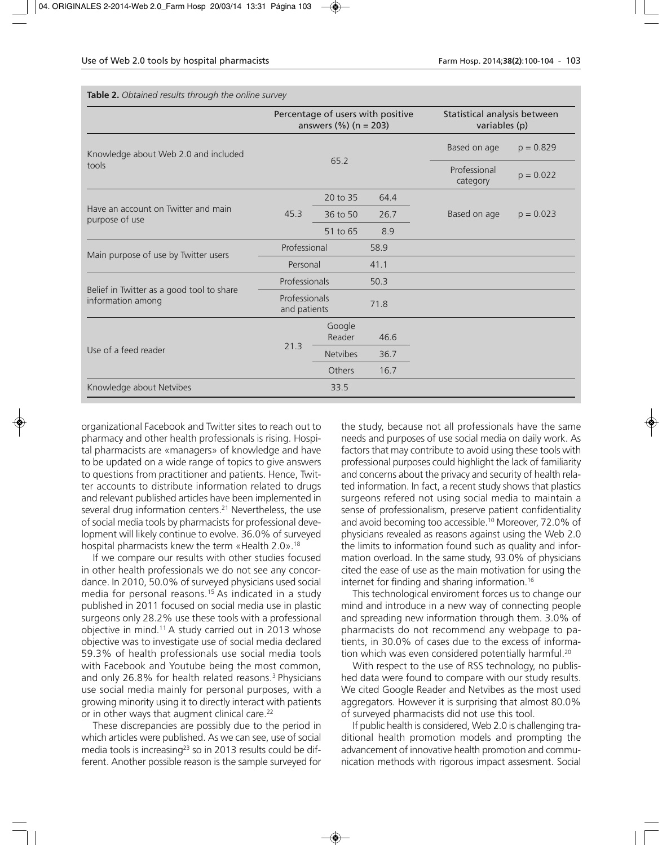**Table 2.** *Obtained results through the online survey*

|                                                                | Percentage of users with positive<br>answers $(\%)(n = 203)$ |                  |                          | Statistical analysis between<br>variables (p) |             |
|----------------------------------------------------------------|--------------------------------------------------------------|------------------|--------------------------|-----------------------------------------------|-------------|
| Knowledge about Web 2.0 and included<br>tools                  | 65.2                                                         |                  | Based on age             | $p = 0.829$                                   |             |
|                                                                |                                                              |                  | Professional<br>category | $p = 0.022$                                   |             |
| Have an account on Twitter and main<br>purpose of use          | 45.3                                                         | 20 to 35         | 64.4                     |                                               |             |
|                                                                |                                                              | 36 to 50         | 26.7                     | Based on age                                  | $p = 0.023$ |
|                                                                |                                                              | 51 to 65         | 8.9                      |                                               |             |
| Main purpose of use by Twitter users                           | Professional                                                 |                  | 58.9                     |                                               |             |
|                                                                | Personal                                                     |                  | 41.1                     |                                               |             |
| Belief in Twitter as a good tool to share<br>information among | Professionals                                                |                  | 50.3                     |                                               |             |
|                                                                | Professionals<br>and patients                                |                  | 71.8                     |                                               |             |
| Use of a feed reader                                           | 21.3                                                         | Google<br>Reader | 46.6                     |                                               |             |
|                                                                |                                                              | <b>Netvibes</b>  | 36.7                     |                                               |             |
|                                                                |                                                              | Others           | 16.7                     |                                               |             |
| Knowledge about Netvibes                                       |                                                              | 33.5             |                          |                                               |             |

organizational Facebook and Twitter sites to reach out to pharmacy and other health professionals is rising. Hospital pharmacists are «managers» of knowledge and have to be updated on a wide range of topics to give answers to questions from practitioner and patients. Hence, Twitter accounts to distribute information related to drugs and relevant published articles have been implemented in several drug information centers.<sup>21</sup> Nevertheless, the use of social media tools by pharmacists for professional development will likely continue to evolve. 36.0% of surveyed hospital pharmacists knew the term «Health 2.0».<sup>18</sup>

If we compare our results with other studies focused in other health professionals we do not see any concordance. In 2010, 50.0% of surveyed physicians used social media for personal reasons.15 As indicated in a study published in 2011 focused on social media use in plastic surgeons only 28.2% use these tools with a professional objective in mind.11 A study carried out in 2013 whose objective was to investigate use of social media declared 59.3% of health professionals use social media tools with Facebook and Youtube being the most common, and only 26.8% for health related reasons.3 Physicians use social media mainly for personal purposes, with a growing minority using it to directly interact with patients or in other ways that augment clinical care.<sup>22</sup>

These discrepancies are possibly due to the period in which articles were published. As we can see, use of social media tools is increasing<sup>23</sup> so in 2013 results could be different. Another possible reason is the sample surveyed for

the study, because not all professionals have the same needs and purposes of use social media on daily work. As factors that may contribute to avoid using these tools with professional purposes could highlight the lack of familiarity and concerns about the privacy and security of health related information. In fact, a recent study shows that plastics surgeons refered not using social media to maintain a sense of professionalism, preserve patient confidentiality and avoid becoming too accessible.<sup>10</sup> Moreover, 72.0% of physicians revealed as reasons against using the Web 2.0 the limits to information found such as quality and information overload. In the same study, 93.0% of physicians cited the ease of use as the main motivation for using the internet for finding and sharing information.16

This technological enviroment forces us to change our mind and introduce in a new way of connecting people and spreading new information through them. 3.0% of pharmacists do not recommend any webpage to patients, in 30.0% of cases due to the excess of information which was even considered potentially harmful.<sup>20</sup>

With respect to the use of RSS technology, no published data were found to compare with our study results. We cited Google Reader and Netvibes as the most used aggregators. However it is surprising that almost 80.0% of surveyed pharmacists did not use this tool.

If public health is considered, Web 2.0 is challenging traditional health promotion models and prompting the advancement of innovative health promotion and communication methods with rigorous impact assesment. Social